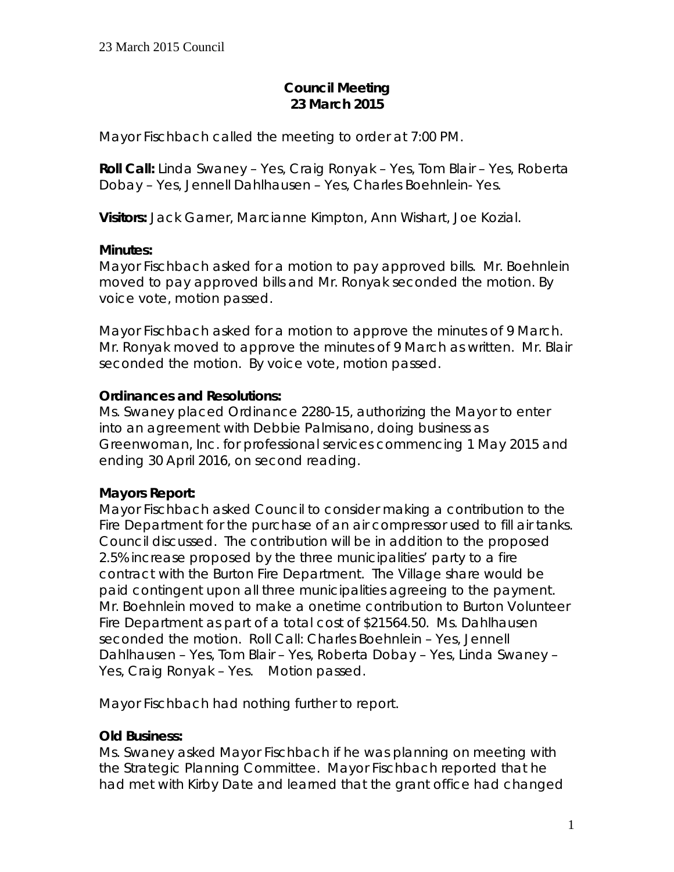# **Council Meeting 23 March 2015**

Mayor Fischbach called the meeting to order at 7:00 PM.

**Roll Call:** Linda Swaney – Yes, Craig Ronyak – Yes, Tom Blair – Yes, Roberta Dobay – Yes, Jennell Dahlhausen – Yes, Charles Boehnlein- Yes.

**Visitors:** Jack Garner, Marcianne Kimpton, Ann Wishart, Joe Kozial.

### **Minutes:**

Mayor Fischbach asked for a motion to pay approved bills. Mr. Boehnlein moved to pay approved bills and Mr. Ronyak seconded the motion. By voice vote, motion passed.

Mayor Fischbach asked for a motion to approve the minutes of 9 March. Mr. Ronyak moved to approve the minutes of 9 March as written. Mr. Blair seconded the motion. By voice vote, motion passed.

# **Ordinances and Resolutions:**

Ms. Swaney placed Ordinance 2280-15, authorizing the Mayor to enter into an agreement with Debbie Palmisano, doing business as Greenwoman, Inc. for professional services commencing 1 May 2015 and ending 30 April 2016, on second reading.

# **Mayors Report:**

Mayor Fischbach asked Council to consider making a contribution to the Fire Department for the purchase of an air compressor used to fill air tanks. Council discussed. The contribution will be in addition to the proposed 2.5% increase proposed by the three municipalities' party to a fire contract with the Burton Fire Department. The Village share would be paid contingent upon all three municipalities agreeing to the payment. Mr. Boehnlein moved to make a onetime contribution to Burton Volunteer Fire Department as part of a total cost of \$21564.50. Ms. Dahlhausen seconded the motion. Roll Call: Charles Boehnlein – Yes, Jennell Dahlhausen – Yes, Tom Blair – Yes, Roberta Dobay – Yes, Linda Swaney – Yes, Craig Ronyak – Yes. Motion passed.

Mayor Fischbach had nothing further to report.

# **Old Business:**

Ms. Swaney asked Mayor Fischbach if he was planning on meeting with the Strategic Planning Committee. Mayor Fischbach reported that he had met with Kirby Date and learned that the grant office had changed